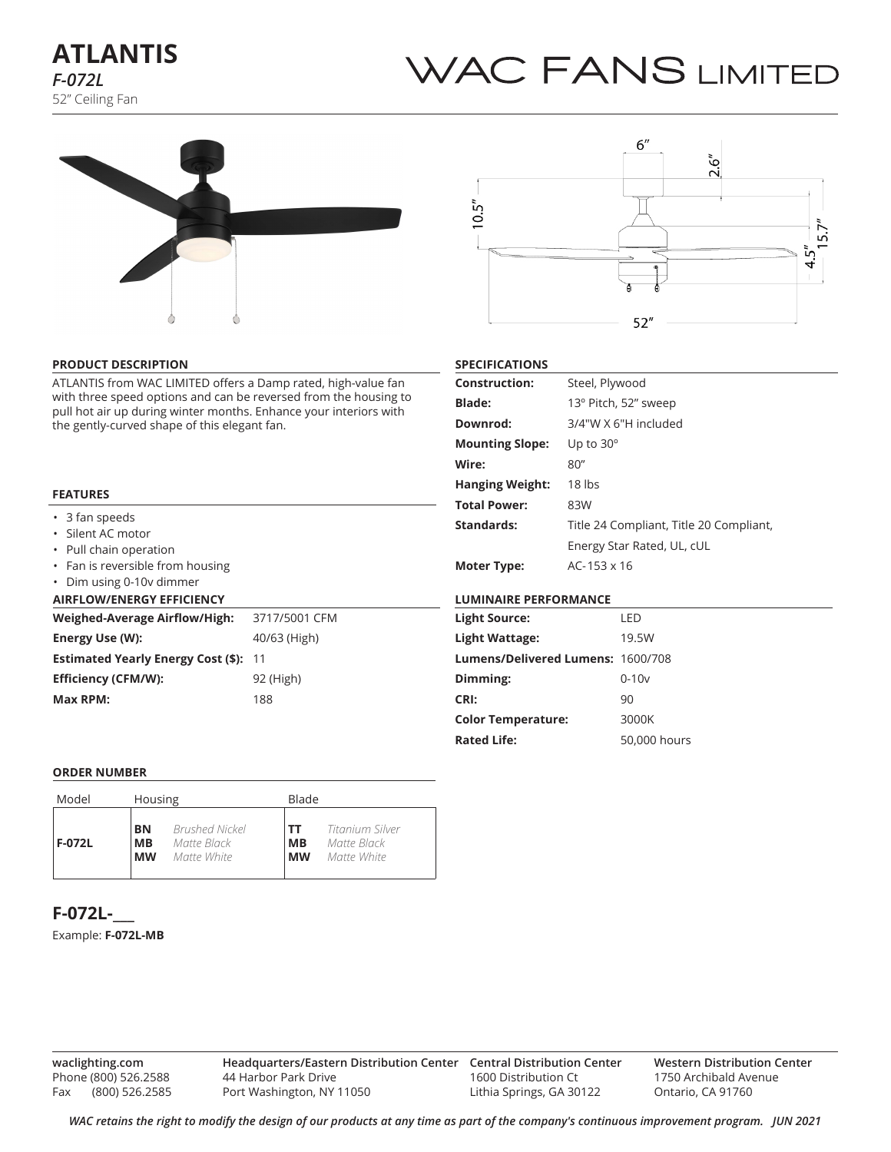# **ATLANTIS** *F-072L* 52" Ceiling Fan

# WAC FANS LIMITED





#### **PRODUCT DESCRIPTION**

ATLANTIS from WAC LIMITED offers a Damp rated, high-value fan with three speed options and can be reversed from the housing to pull hot air up during winter months. Enhance your interiors with the gently-curved shape of this elegant fan.

#### **FEATURES**

|  | 3 fan speeds |
|--|--------------|
|--|--------------|

- Silent AC motor
- Pull chain operation
- Fan is reversible from housing

# • Dim using 0-10v dimmer

| <b>AIRFLOW/ENERGY EFFICIENCY</b> |  |
|----------------------------------|--|
|----------------------------------|--|

| <b>Weighed-Average Airflow/High:</b>         | 3717/5001 CFM |
|----------------------------------------------|---------------|
| Energy Use (W):                              | 40/63 (High)  |
| <b>Estimated Yearly Energy Cost (\$): 11</b> |               |
| <b>Efficiency (CFM/W):</b>                   | 92 (High)     |
| Max RPM:                                     | 188           |

#### **SPECIFICATIONS**

| <b>Construction:</b>   | Steel, Plywood                          |
|------------------------|-----------------------------------------|
| <b>Blade:</b>          | 13° Pitch, 52" sweep                    |
| Downrod:               | 3/4"W X 6"H included                    |
| <b>Mounting Slope:</b> | Up to $30^\circ$                        |
| Wire:                  | 80''                                    |
| <b>Hanging Weight:</b> | 18 lbs                                  |
| <b>Total Power:</b>    | 83W                                     |
| Standards:             | Title 24 Compliant, Title 20 Compliant, |
|                        | Energy Star Rated, UL, cUL              |
| Moter Type:            | $AC - 153 \times 16$                    |

### **LUMINAIRE PERFORMANCE**

| <b>Light Source:</b>              | LED          |
|-----------------------------------|--------------|
| Light Wattage:                    | 19.5W        |
| Lumens/Delivered Lumens: 1600/708 |              |
| Dimming:                          | $0 - 10v$    |
| CRI:                              | 90           |
| <b>Color Temperature:</b>         | 3000K        |
| <b>Rated Life:</b>                | 50,000 hours |
|                                   |              |

#### **ORDER NUMBER**

| Model         | Housing   |                       |           | Blade           |  |  |  |  |
|---------------|-----------|-----------------------|-----------|-----------------|--|--|--|--|
| <b>F-072L</b> | BN        | <b>Brushed Nickel</b> | <b>TT</b> | Titanium Silver |  |  |  |  |
|               | <b>MB</b> | Matte Black           | MВ        | Matte Black     |  |  |  |  |
|               | <b>MW</b> | Matte White           | <b>MW</b> | Matte White     |  |  |  |  |

# **F-072L-\_\_\_**

#### Example: **F-072L-MB**

**waclighting.com** Phone (800) 526.2588 Fax (800) 526.2585

**Headquarters/Eastern Distribution Center Central Distribution Center** 44 Harbor Park Drive Port Washington, NY 11050

1600 Distribution Ct Lithia Springs, GA 30122 **Western Distribution Center**  1750 Archibald Avenue Ontario, CA 91760

*WAC retains the right to modify the design of our products at any time as part of the company's continuous improvement program. Jun 2021*